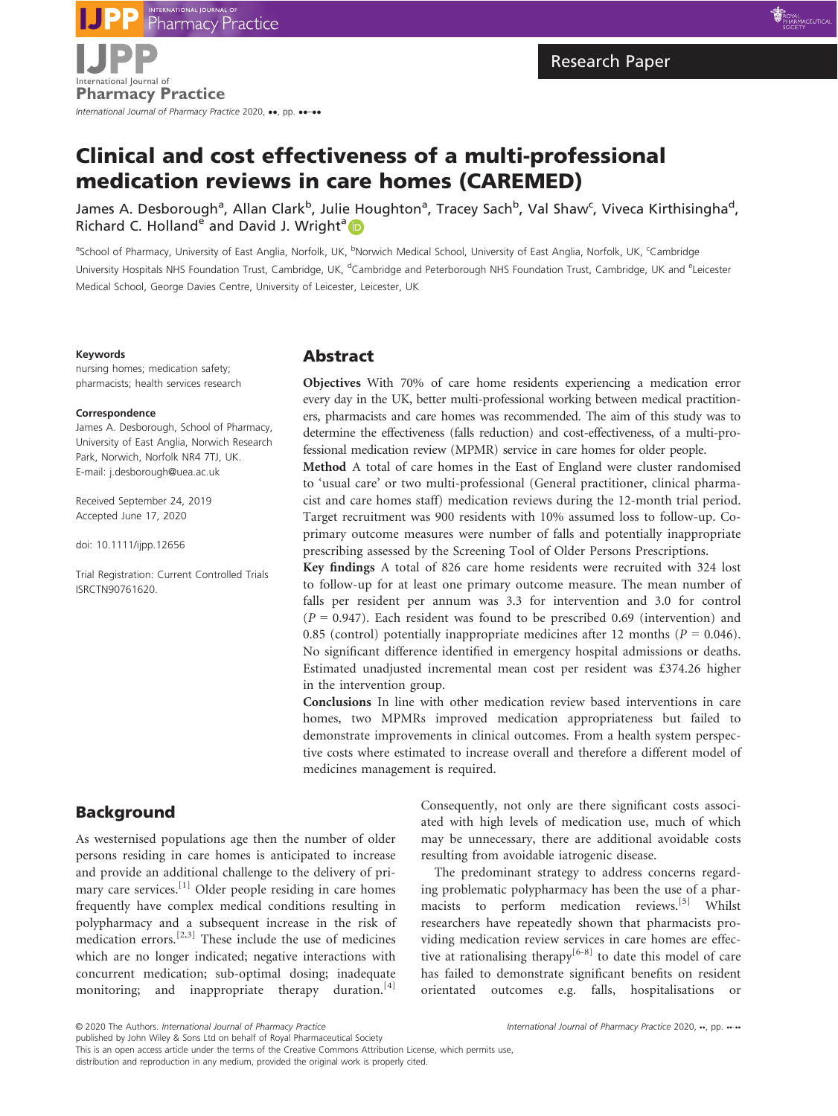ed<mark>é</mark>s<br>- <mark>St</mark>e Royal<br>- Society<br>- Society

# Clinical and cost effectiveness of a multi-professional medication reviews in care homes (CAREMED)

James A. Desborough<sup>a</sup>, Allan Clark<sup>b</sup>, Julie Houghton<sup>a</sup>, Tracey Sach<sup>b</sup>, Val Shaw<sup>c</sup>, Viveca Kirthisingha<sup>d</sup>, Richard C. Holland<sup>e</sup> and David J. Wright<sup>a</sup>

aSchool of Pharmacy, University of East Anglia, Norfolk, UK, <sup>b</sup>Norwich Medical School, University of East Anglia, Norfolk, UK, <sup>c</sup>Cambridge University Hospitals NHS Foundation Trust, Cambridge, UK, <sup>d</sup>Cambridge and Peterborough NHS Foundation Trust, Cambridge, UK and <sup>e</sup>Leicester Medical School, George Davies Centre, University of Leicester, Leicester, UK

#### Keywords

nursing homes; medication safety; pharmacists; health services research

#### Correspondence

James A. Desborough, School of Pharmacy, University of East Anglia, Norwich Research Park, Norwich, Norfolk NR4 7TJ, UK. E-mail: [j.desborough@uea.ac.uk](mailto:)

Received September 24, 2019 Accepted June 17, 2020

doi: 10.1111/ijpp.12656

Trial Registration: Current Controlled Trials ISRCTN90761620.

## Abstract

Objectives With 70% of care home residents experiencing a medication error every day in the UK, better multi-professional working between medical practitioners, pharmacists and care homes was recommended. The aim of this study was to determine the effectiveness (falls reduction) and cost-effectiveness, of a multi-professional medication review (MPMR) service in care homes for older people.

Method A total of care homes in the East of England were cluster randomised to 'usual care' or two multi-professional (General practitioner, clinical pharmacist and care homes staff) medication reviews during the 12-month trial period. Target recruitment was 900 residents with 10% assumed loss to follow-up. Coprimary outcome measures were number of falls and potentially inappropriate prescribing assessed by the Screening Tool of Older Persons Prescriptions.

Key findings A total of 826 care home residents were recruited with 324 lost to follow-up for at least one primary outcome measure. The mean number of falls per resident per annum was 3.3 for intervention and 3.0 for control  $(P = 0.947)$ . Each resident was found to be prescribed 0.69 (intervention) and 0.85 (control) potentially inappropriate medicines after 12 months ( $P = 0.046$ ). No significant difference identified in emergency hospital admissions or deaths. Estimated unadjusted incremental mean cost per resident was £374.26 higher in the intervention group.

Conclusions In line with other medication review based interventions in care homes, two MPMRs improved medication appropriateness but failed to demonstrate improvements in clinical outcomes. From a health system perspective costs where estimated to increase overall and therefore a different model of medicines management is required.

# Background

As westernised populations age then the number of older persons residing in care homes is anticipated to increase and provide an additional challenge to the delivery of primary care services.<sup>[1]</sup> Older people residing in care homes frequently have complex medical conditions resulting in polypharmacy and a subsequent increase in the risk of medication errors.[2,3] These include the use of medicines which are no longer indicated; negative interactions with concurrent medication; sub-optimal dosing; inadequate monitoring; and inappropriate therapy duration.<sup>[4]</sup> Consequently, not only are there significant costs associated with high levels of medication use, much of which may be unnecessary, there are additional avoidable costs resulting from avoidable iatrogenic disease.

The predominant strategy to address concerns regarding problematic polypharmacy has been the use of a pharmacists to perform medication reviews.[5] Whilst researchers have repeatedly shown that pharmacists providing medication review services in care homes are effective at rationalising therapy<sup>[6-8]</sup> to date this model of care has failed to demonstrate significant benefits on resident orientated outcomes e.g. falls, hospitalisations or

published by John Wiley & Sons Ltd on behalf of Royal Pharmaceutical Society This is an open access article under the terms of the [Creative Commons Attribution](http://creativecommons.org/licenses/by/4.0/) License, which permits use,

distribution and reproduction in any medium, provided the original work is properly cited.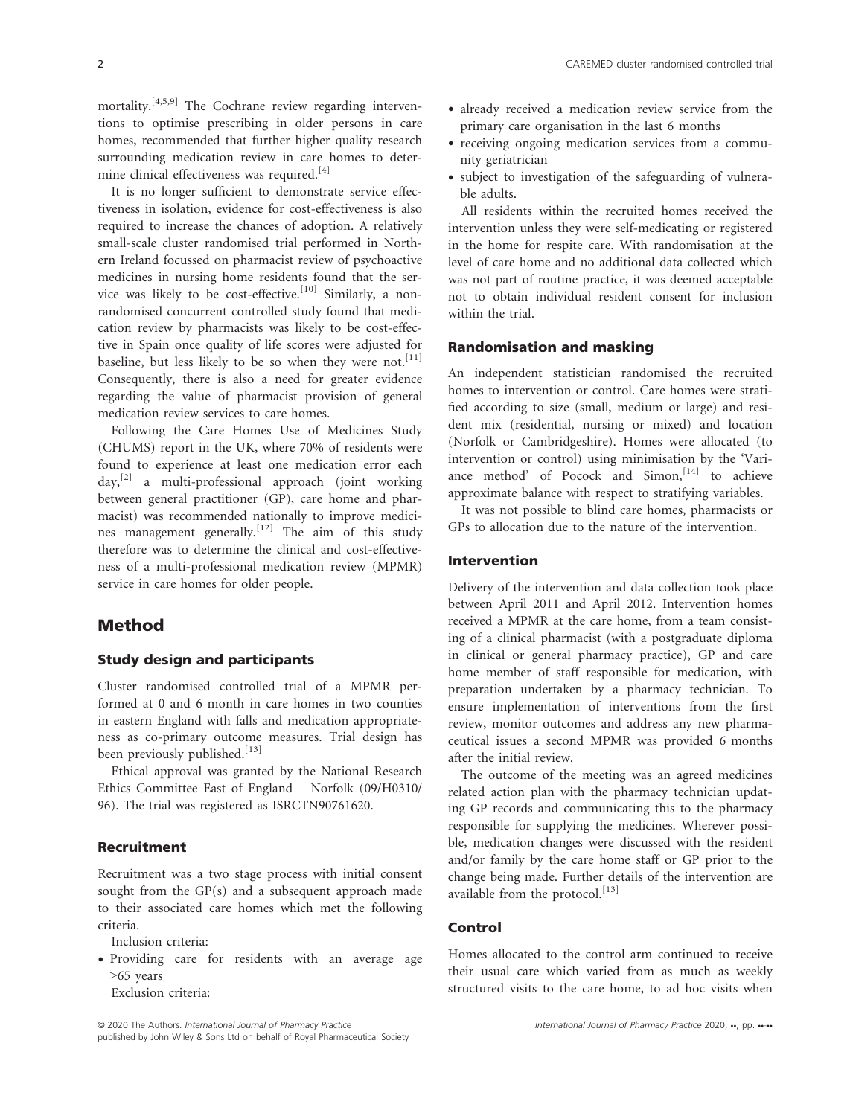mortality.<sup>[4,5,9]</sup> The Cochrane review regarding interventions to optimise prescribing in older persons in care homes, recommended that further higher quality research surrounding medication review in care homes to determine clinical effectiveness was required.<sup>[4]</sup>

It is no longer sufficient to demonstrate service effectiveness in isolation, evidence for cost-effectiveness is also required to increase the chances of adoption. A relatively small-scale cluster randomised trial performed in Northern Ireland focussed on pharmacist review of psychoactive medicines in nursing home residents found that the service was likely to be cost-effective.<sup>[10]</sup> Similarly, a nonrandomised concurrent controlled study found that medication review by pharmacists was likely to be cost-effective in Spain once quality of life scores were adjusted for baseline, but less likely to be so when they were not.<sup>[11]</sup> Consequently, there is also a need for greater evidence regarding the value of pharmacist provision of general medication review services to care homes.

Following the Care Homes Use of Medicines Study (CHUMS) report in the UK, where 70% of residents were found to experience at least one medication error each  $day$ ,<sup>[2]</sup> a multi-professional approach (joint working between general practitioner (GP), care home and pharmacist) was recommended nationally to improve medicines management generally.<sup>[12]</sup> The aim of this study therefore was to determine the clinical and cost-effectiveness of a multi-professional medication review (MPMR) service in care homes for older people.

## Method

#### Study design and participants

Cluster randomised controlled trial of a MPMR performed at 0 and 6 month in care homes in two counties in eastern England with falls and medication appropriateness as co-primary outcome measures. Trial design has been previously published. $[13]$ 

Ethical approval was granted by the National Research Ethics Committee East of England – Norfolk (09/H0310/ 96). The trial was registered as ISRCTN90761620.

#### Recruitment

Recruitment was a two stage process with initial consent sought from the GP(s) and a subsequent approach made to their associated care homes which met the following criteria.

Inclusion criteria:

• Providing care for residents with an average age >65 years

Exclusion criteria:

- already received a medication review service from the primary care organisation in the last 6 months
- receiving ongoing medication services from a community geriatrician
- subject to investigation of the safeguarding of vulnerable adults.

All residents within the recruited homes received the intervention unless they were self-medicating or registered in the home for respite care. With randomisation at the level of care home and no additional data collected which was not part of routine practice, it was deemed acceptable not to obtain individual resident consent for inclusion within the trial.

#### Randomisation and masking

An independent statistician randomised the recruited homes to intervention or control. Care homes were stratified according to size (small, medium or large) and resident mix (residential, nursing or mixed) and location (Norfolk or Cambridgeshire). Homes were allocated (to intervention or control) using minimisation by the 'Variance method' of Pocock and Simon, [14] to achieve approximate balance with respect to stratifying variables.

It was not possible to blind care homes, pharmacists or GPs to allocation due to the nature of the intervention.

#### Intervention

Delivery of the intervention and data collection took place between April 2011 and April 2012. Intervention homes received a MPMR at the care home, from a team consisting of a clinical pharmacist (with a postgraduate diploma in clinical or general pharmacy practice), GP and care home member of staff responsible for medication, with preparation undertaken by a pharmacy technician. To ensure implementation of interventions from the first review, monitor outcomes and address any new pharmaceutical issues a second MPMR was provided 6 months after the initial review.

The outcome of the meeting was an agreed medicines related action plan with the pharmacy technician updating GP records and communicating this to the pharmacy responsible for supplying the medicines. Wherever possible, medication changes were discussed with the resident and/or family by the care home staff or GP prior to the change being made. Further details of the intervention are available from the protocol. $^{[13]}$ 

#### Control

Homes allocated to the control arm continued to receive their usual care which varied from as much as weekly structured visits to the care home, to ad hoc visits when

<sup>©</sup> 2020 The Authors. International Journal of Pharmacy Practice published by John Wiley & Sons Ltd on behalf of Royal Pharmaceutical Society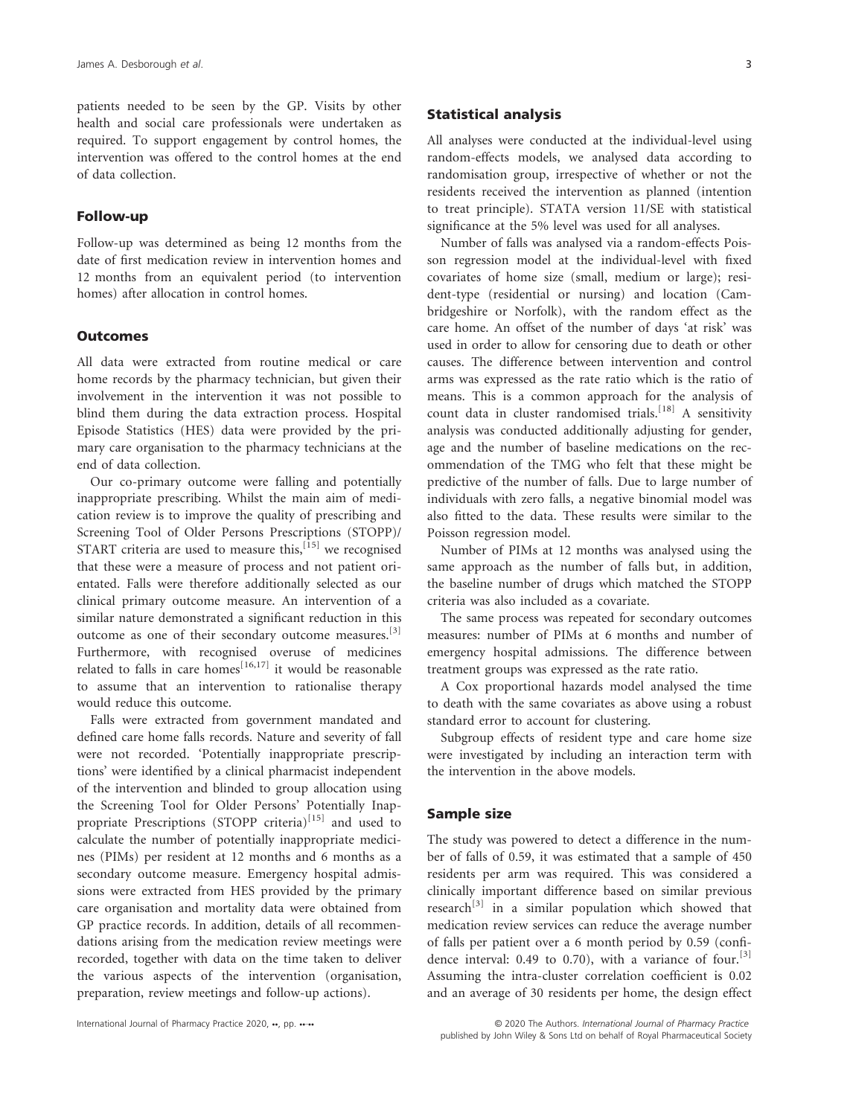patients needed to be seen by the GP. Visits by other health and social care professionals were undertaken as required. To support engagement by control homes, the intervention was offered to the control homes at the end of data collection.

#### Follow-up

Follow-up was determined as being 12 months from the date of first medication review in intervention homes and 12 months from an equivalent period (to intervention homes) after allocation in control homes.

## **Outcomes**

All data were extracted from routine medical or care home records by the pharmacy technician, but given their involvement in the intervention it was not possible to blind them during the data extraction process. Hospital Episode Statistics (HES) data were provided by the primary care organisation to the pharmacy technicians at the end of data collection.

Our co-primary outcome were falling and potentially inappropriate prescribing. Whilst the main aim of medication review is to improve the quality of prescribing and Screening Tool of Older Persons Prescriptions (STOPP)/ START criteria are used to measure this,  $[15]$  we recognised that these were a measure of process and not patient orientated. Falls were therefore additionally selected as our clinical primary outcome measure. An intervention of a similar nature demonstrated a significant reduction in this outcome as one of their secondary outcome measures. $[3]$ Furthermore, with recognised overuse of medicines related to falls in care homes<sup>[16,17]</sup> it would be reasonable to assume that an intervention to rationalise therapy would reduce this outcome.

Falls were extracted from government mandated and defined care home falls records. Nature and severity of fall were not recorded. 'Potentially inappropriate prescriptions' were identified by a clinical pharmacist independent of the intervention and blinded to group allocation using the Screening Tool for Older Persons' Potentially Inappropriate Prescriptions (STOPP criteria)<sup>[15]</sup> and used to calculate the number of potentially inappropriate medicines (PIMs) per resident at 12 months and 6 months as a secondary outcome measure. Emergency hospital admissions were extracted from HES provided by the primary care organisation and mortality data were obtained from GP practice records. In addition, details of all recommendations arising from the medication review meetings were recorded, together with data on the time taken to deliver the various aspects of the intervention (organisation, preparation, review meetings and follow-up actions).

#### Statistical analysis

All analyses were conducted at the individual-level using random-effects models, we analysed data according to randomisation group, irrespective of whether or not the residents received the intervention as planned (intention to treat principle). STATA version 11/SE with statistical significance at the 5% level was used for all analyses.

Number of falls was analysed via a random-effects Poisson regression model at the individual-level with fixed covariates of home size (small, medium or large); resident-type (residential or nursing) and location (Cambridgeshire or Norfolk), with the random effect as the care home. An offset of the number of days 'at risk' was used in order to allow for censoring due to death or other causes. The difference between intervention and control arms was expressed as the rate ratio which is the ratio of means. This is a common approach for the analysis of count data in cluster randomised trials.<sup>[18]</sup> A sensitivity analysis was conducted additionally adjusting for gender, age and the number of baseline medications on the recommendation of the TMG who felt that these might be predictive of the number of falls. Due to large number of individuals with zero falls, a negative binomial model was also fitted to the data. These results were similar to the Poisson regression model.

Number of PIMs at 12 months was analysed using the same approach as the number of falls but, in addition, the baseline number of drugs which matched the STOPP criteria was also included as a covariate.

The same process was repeated for secondary outcomes measures: number of PIMs at 6 months and number of emergency hospital admissions. The difference between treatment groups was expressed as the rate ratio.

A Cox proportional hazards model analysed the time to death with the same covariates as above using a robust standard error to account for clustering.

Subgroup effects of resident type and care home size were investigated by including an interaction term with the intervention in the above models.

## Sample size

The study was powered to detect a difference in the number of falls of 0.59, it was estimated that a sample of 450 residents per arm was required. This was considered a clinically important difference based on similar previous research<sup>[3]</sup> in a similar population which showed that medication review services can reduce the average number of falls per patient over a 6 month period by 0.59 (confidence interval: 0.49 to 0.70), with a variance of four.<sup>[3]</sup> Assuming the intra-cluster correlation coefficient is 0.02 and an average of 30 residents per home, the design effect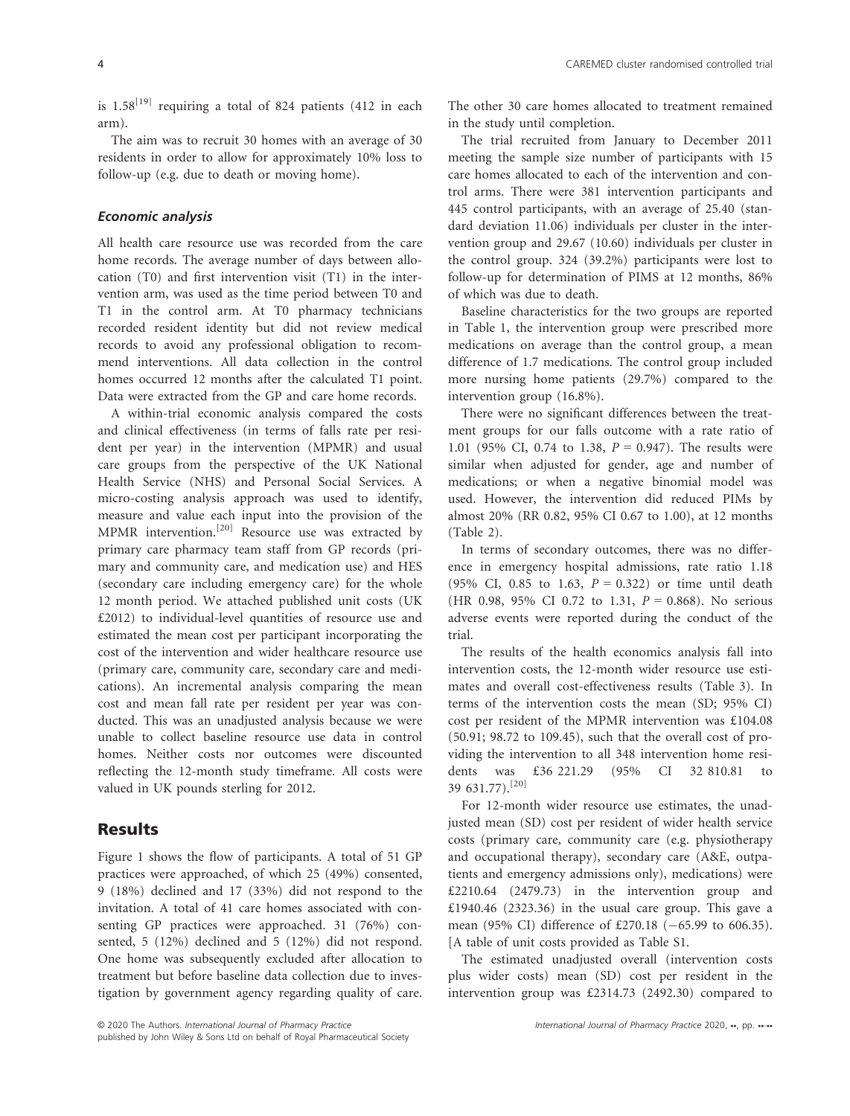is  $1.58^{[19]}$  requiring a total of 824 patients (412 in each arm).

The aim was to recruit 30 homes with an average of 30 residents in order to allow for approximately 10% loss to follow-up (e.g. due to death or moving home).

### Economic analysis

All health care resource use was recorded from the care home records. The average number of days between allocation (T0) and first intervention visit (T1) in the intervention arm, was used as the time period between T0 and T1 in the control arm. At T0 pharmacy technicians recorded resident identity but did not review medical records to avoid any professional obligation to recommend interventions. All data collection in the control homes occurred 12 months after the calculated T1 point. Data were extracted from the GP and care home records.

A within-trial economic analysis compared the costs and clinical effectiveness (in terms of falls rate per resident per year) in the intervention (MPMR) and usual care groups from the perspective of the UK National Health Service (NHS) and Personal Social Services. A micro-costing analysis approach was used to identify, measure and value each input into the provision of the MPMR intervention.<sup>[20]</sup> Resource use was extracted by primary care pharmacy team staff from GP records (primary and community care, and medication use) and HES (secondary care including emergency care) for the whole 12 month period. We attached published unit costs (UK £2012) to individual-level quantities of resource use and estimated the mean cost per participant incorporating the cost of the intervention and wider healthcare resource use (primary care, community care, secondary care and medications). An incremental analysis comparing the mean cost and mean fall rate per resident per year was conducted. This was an unadjusted analysis because we were unable to collect baseline resource use data in control homes. Neither costs nor outcomes were discounted reflecting the 12-month study timeframe. All costs were valued in UK pounds sterling for 2012.

## Results

Figure 1 shows the flow of participants. A total of 51 GP practices were approached, of which 25 (49%) consented, 9 (18%) declined and 17 (33%) did not respond to the invitation. A total of 41 care homes associated with consenting GP practices were approached. 31 (76%) consented, 5 (12%) declined and 5 (12%) did not respond. One home was subsequently excluded after allocation to treatment but before baseline data collection due to investigation by government agency regarding quality of care.

© 2020 The Authors. International Journal of Pharmacy Practice published by John Wiley & Sons Ltd on behalf of Royal Pharmaceutical Society The other 30 care homes allocated to treatment remained in the study until completion.

The trial recruited from January to December 2011 meeting the sample size number of participants with 15 care homes allocated to each of the intervention and control arms. There were 381 intervention participants and 445 control participants, with an average of 25.40 (standard deviation 11.06) individuals per cluster in the intervention group and 29.67 (10.60) individuals per cluster in the control group. 324 (39.2%) participants were lost to follow-up for determination of PIMS at 12 months, 86% of which was due to death.

Baseline characteristics for the two groups are reported in Table 1, the intervention group were prescribed more medications on average than the control group, a mean difference of 1.7 medications. The control group included more nursing home patients (29.7%) compared to the intervention group (16.8%).

There were no significant differences between the treatment groups for our falls outcome with a rate ratio of 1.01 (95% CI, 0.74 to 1.38,  $P = 0.947$ ). The results were similar when adjusted for gender, age and number of medications; or when a negative binomial model was used. However, the intervention did reduced PIMs by almost 20% (RR 0.82, 95% CI 0.67 to 1.00), at 12 months (Table 2).

In terms of secondary outcomes, there was no difference in emergency hospital admissions, rate ratio 1.18 (95% CI, 0.85 to 1.63,  $P = 0.322$ ) or time until death (HR 0.98, 95% CI 0.72 to 1.31,  $P = 0.868$ ). No serious adverse events were reported during the conduct of the trial.

The results of the health economics analysis fall into intervention costs, the 12-month wider resource use estimates and overall cost-effectiveness results (Table 3). In terms of the intervention costs the mean (SD; 95% CI) cost per resident of the MPMR intervention was £104.08 (50.91; 98.72 to 109.45), such that the overall cost of providing the intervention to all 348 intervention home residents was £36 221.29 (95% CI 32 810.81 to 39 631.77).[20]

For 12-month wider resource use estimates, the unadjusted mean (SD) cost per resident of wider health service costs (primary care, community care (e.g. physiotherapy and occupational therapy), secondary care (A&E, outpatients and emergency admissions only), medications) were £2210.64 (2479.73) in the intervention group and £1940.46 (2323.36) in the usual care group. This gave a mean (95% CI) difference of £270.18 ( $-65.99$  to 606.35). [A table of unit costs provided as Table S1.

The estimated unadjusted overall (intervention costs plus wider costs) mean (SD) cost per resident in the intervention group was £2314.73 (2492.30) compared to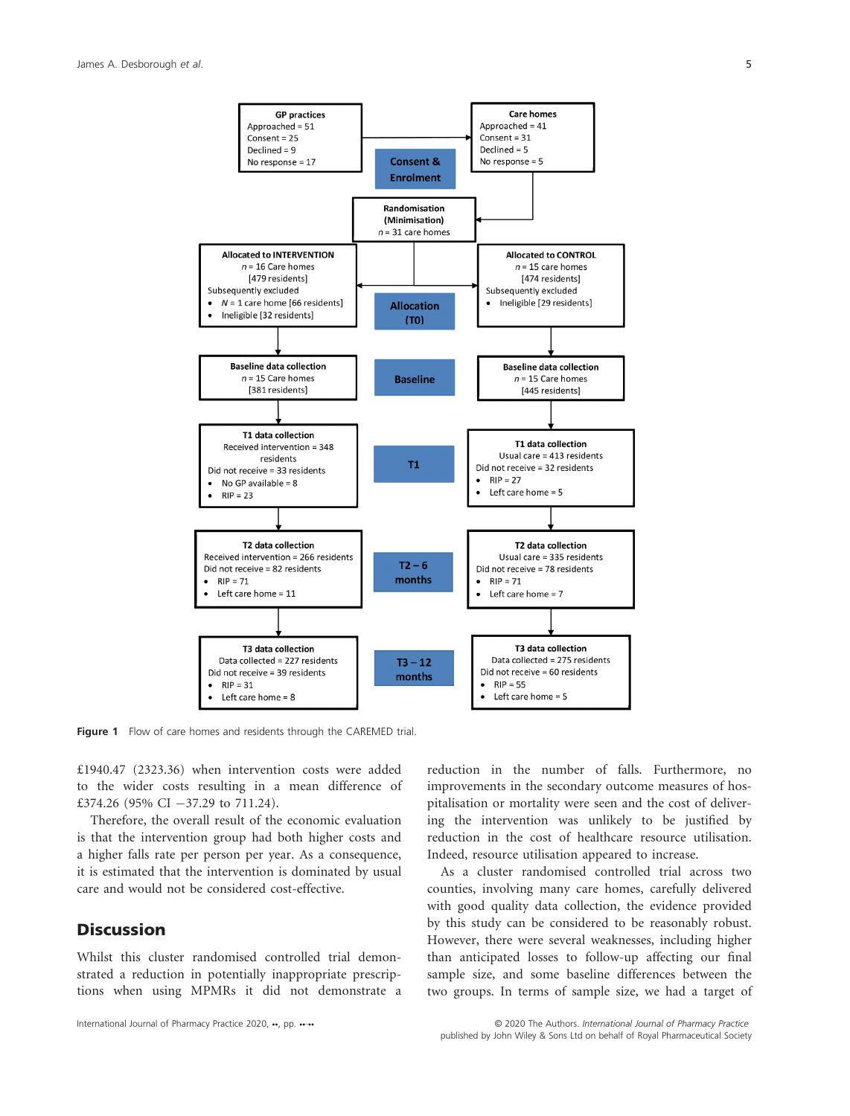

Figure 1 Flow of care homes and residents through the CAREMED trial.

£1940.47 (2323.36) when intervention costs were added to the wider costs resulting in a mean difference of £374.26 (95% CI  $-37.29$  to 711.24).

Therefore, the overall result of the economic evaluation is that the intervention group had both higher costs and a higher falls rate per person per year. As a consequence, it is estimated that the intervention is dominated by usual care and would not be considered cost-effective.

# **Discussion**

Whilst this cluster randomised controlled trial demonstrated a reduction in potentially inappropriate prescriptions when using MPMRs it did not demonstrate a reduction in the number of falls. Furthermore, no improvements in the secondary outcome measures of hospitalisation or mortality were seen and the cost of delivering the intervention was unlikely to be justified by reduction in the cost of healthcare resource utilisation. Indeed, resource utilisation appeared to increase.

As a cluster randomised controlled trial across two counties, involving many care homes, carefully delivered with good quality data collection, the evidence provided by this study can be considered to be reasonably robust. However, there were several weaknesses, including higher than anticipated losses to follow-up affecting our final sample size, and some baseline differences between the two groups. In terms of sample size, we had a target of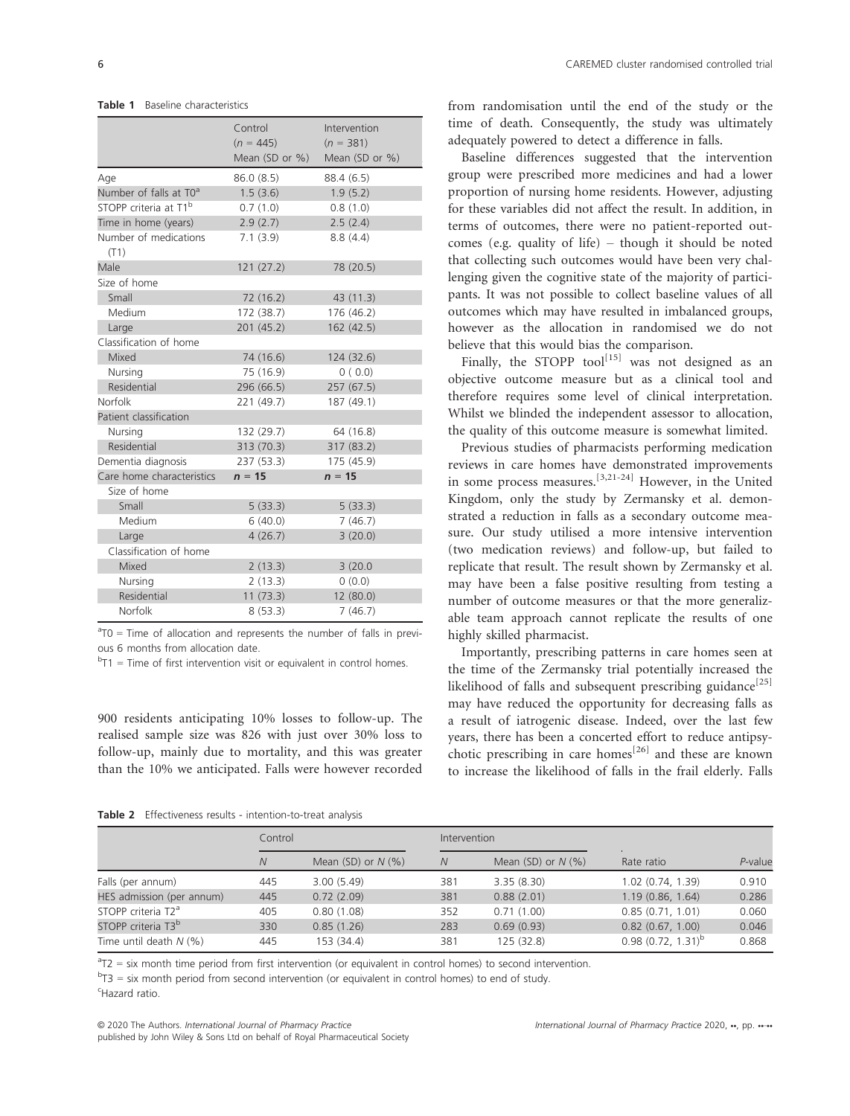Table 1 Baseline characteristics

|                                    | Control<br>$(n = 445)$<br>Mean (SD or %) | Intervention<br>$(n = 381)$<br>Mean (SD or %) |  |  |
|------------------------------------|------------------------------------------|-----------------------------------------------|--|--|
| Age                                | 86.0(8.5)                                | 88.4 (6.5)                                    |  |  |
| Number of falls at T0 <sup>a</sup> | 1.5(3.6)                                 | 1.9(5.2)                                      |  |  |
| STOPP criteria at T1 <sup>b</sup>  | 0.7(1.0)                                 | 0.8(1.0)                                      |  |  |
| Time in home (years)               | 2.9(2.7)                                 | 2.5(2.4)                                      |  |  |
| Number of medications<br>(T1)      | 7.1(3.9)                                 | 8.8(4.4)                                      |  |  |
| Male                               | 121(27.2)                                | 78 (20.5)                                     |  |  |
| Size of home                       |                                          |                                               |  |  |
| Small                              | 72(16.2)                                 | 43 (11.3)                                     |  |  |
| Medium                             | 172 (38.7)                               | 176 (46.2)                                    |  |  |
| Large                              | 201 (45.2)                               | 162 (42.5)                                    |  |  |
| Classification of home             |                                          |                                               |  |  |
| Mixed                              | 74 (16.6)                                | 124 (32.6)                                    |  |  |
| Nursing                            | 75 (16.9)                                | 0(0.0)                                        |  |  |
| Residential                        | 296 (66.5)                               | 257 (67.5)                                    |  |  |
| Norfolk                            | 221 (49.7)                               | 187 (49.1)                                    |  |  |
| Patient classification             |                                          |                                               |  |  |
| Nursing                            | 132 (29.7)                               | 64 (16.8)                                     |  |  |
| Residential                        | 313 (70.3)                               | 317 (83.2)                                    |  |  |
| Dementia diagnosis                 | 237 (53.3)                               | 175 (45.9)                                    |  |  |
| Care home characteristics          | $n = 15$                                 | $n = 15$                                      |  |  |
| Size of home                       |                                          |                                               |  |  |
| Small                              | 5(33.3)                                  | 5(33.3)                                       |  |  |
| Medium                             | 6(40.0)                                  | 7(46.7)                                       |  |  |
| Large                              | 4(26.7)                                  | 3(20.0)                                       |  |  |
| Classification of home             |                                          |                                               |  |  |
| Mixed                              | 2(13.3)                                  | 3(20.0)                                       |  |  |
| Nursing                            | 2(13.3)                                  | 0(0.0)                                        |  |  |
| Residential                        | 11(73.3)                                 | 12 (80.0)                                     |  |  |
| Norfolk                            | 8(53.3)                                  | 7(46.7)                                       |  |  |

<sup>a</sup>T0 = Time of allocation and represents the number of falls in previous 6 months from allocation date.

<sup>b</sup>T1 = Time of first intervention visit or equivalent in control homes.

900 residents anticipating 10% losses to follow-up. The realised sample size was 826 with just over 30% loss to follow-up, mainly due to mortality, and this was greater than the 10% we anticipated. Falls were however recorded

Table 2 Effectiveness results - intention-to-treat analysis

from randomisation until the end of the study or the time of death. Consequently, the study was ultimately adequately powered to detect a difference in falls.

Baseline differences suggested that the intervention group were prescribed more medicines and had a lower proportion of nursing home residents. However, adjusting for these variables did not affect the result. In addition, in terms of outcomes, there were no patient-reported outcomes (e.g. quality of life) – though it should be noted that collecting such outcomes would have been very challenging given the cognitive state of the majority of participants. It was not possible to collect baseline values of all outcomes which may have resulted in imbalanced groups, however as the allocation in randomised we do not believe that this would bias the comparison.

Finally, the STOPP tool<sup>[15]</sup> was not designed as an objective outcome measure but as a clinical tool and therefore requires some level of clinical interpretation. Whilst we blinded the independent assessor to allocation, the quality of this outcome measure is somewhat limited.

Previous studies of pharmacists performing medication reviews in care homes have demonstrated improvements in some process measures.[3,21-24] However, in the United Kingdom, only the study by Zermansky et al. demonstrated a reduction in falls as a secondary outcome measure. Our study utilised a more intensive intervention (two medication reviews) and follow-up, but failed to replicate that result. The result shown by Zermansky et al. may have been a false positive resulting from testing a number of outcome measures or that the more generalizable team approach cannot replicate the results of one highly skilled pharmacist.

Importantly, prescribing patterns in care homes seen at the time of the Zermansky trial potentially increased the likelihood of falls and subsequent prescribing guidance<sup>[25]</sup> may have reduced the opportunity for decreasing falls as a result of iatrogenic disease. Indeed, over the last few years, there has been a concerted effort to reduce antipsychotic prescribing in care homes<sup>[26]</sup> and these are known to increase the likelihood of falls in the frail elderly. Falls

|                                | Control        |                           | Intervention |                           |                       |         |
|--------------------------------|----------------|---------------------------|--------------|---------------------------|-----------------------|---------|
|                                | $\overline{N}$ | Mean $(SD)$ or $N$ $(\%)$ | N            | Mean $(SD)$ or $N$ $(\%)$ | Rate ratio            | P-value |
| Falls (per annum)              | 445            | 3.00(5.49)                | 381          | 3.35(8.30)                | 1.02(0.74, 1.39)      | 0.910   |
| HES admission (per annum)      | 445            | 0.72(2.09)                | 381          | 0.88(2.01)                | 1.19(0.86, 1.64)      | 0.286   |
| STOPP criteria T2 <sup>a</sup> | 405            | 0.80(1.08)                | 352          | 0.71(1.00)                | 0.85(0.71, 1.01)      | 0.060   |
| STOPP criteria T3 <sup>b</sup> | 330            | 0.85(1.26)                | 283          | 0.69(0.93)                | $0.82$ $(0.67, 1.00)$ | 0.046   |
| Time until death $N$ (%)       | 445            | 153 (34.4)                | 381          | 125 (32.8)                | $0.98(0.72, 1.31)^b$  | 0.868   |

<sup>a</sup>T2 = six month time period from first intervention (or equivalent in control homes) to second intervention.

 $B = 5$  ix month period from second intervention (or equivalent in control homes) to end of study.

c Hazard ratio.

© 2020 The Authors. International Journal of Pharmacy Practice published by John Wiley & Sons Ltd on behalf of Royal Pharmaceutical Society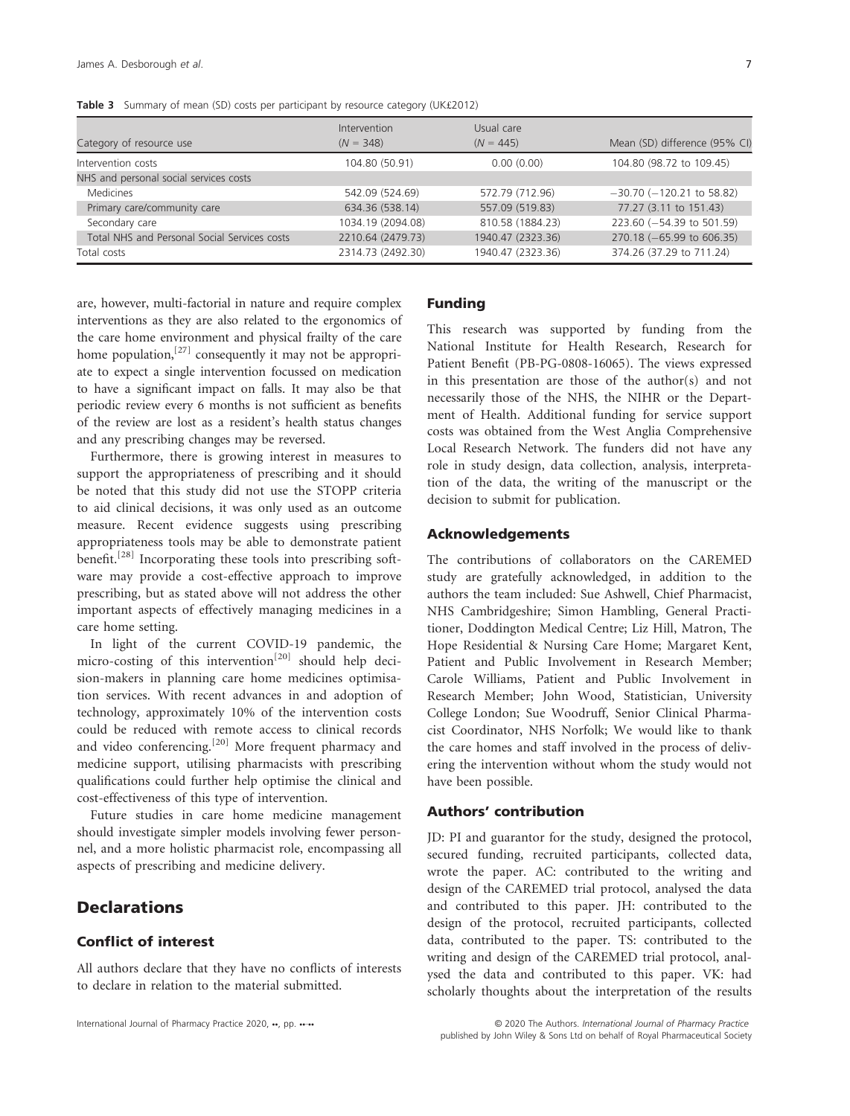|  |  |  |  | <b>Table 3</b> Summary of mean (SD) costs per participant by resource category (UK£2012) |  |  |  |
|--|--|--|--|------------------------------------------------------------------------------------------|--|--|--|
|--|--|--|--|------------------------------------------------------------------------------------------|--|--|--|

| Category of resource use                     | Intervention<br>$(N = 348)$ | Usual care<br>$(N = 445)$ | Mean (SD) difference (95% CI)  |
|----------------------------------------------|-----------------------------|---------------------------|--------------------------------|
| Intervention costs                           | 104.80 (50.91)              | 0.00(0.00)                | 104.80 (98.72 to 109.45)       |
| NHS and personal social services costs       |                             |                           |                                |
| <b>Medicines</b>                             | 542.09 (524.69)             | 572.79 (712.96)           | $-30.70$ ( $-120.21$ to 58.82) |
| Primary care/community care                  | 634.36 (538.14)             | 557.09 (519.83)           | 77.27 (3.11 to 151.43)         |
| Secondary care                               | 1034.19 (2094.08)           | 810.58 (1884.23)          | 223.60 (-54.39 to 501.59)      |
| Total NHS and Personal Social Services costs | 2210.64 (2479.73)           | 1940.47 (2323.36)         | 270.18 (-65.99 to 606.35)      |
| Total costs                                  | 2314.73 (2492.30)           | 1940.47 (2323.36)         | 374.26 (37.29 to 711.24)       |

are, however, multi-factorial in nature and require complex interventions as they are also related to the ergonomics of the care home environment and physical frailty of the care home population, $^{[27]}$  consequently it may not be appropriate to expect a single intervention focussed on medication to have a significant impact on falls. It may also be that periodic review every 6 months is not sufficient as benefits of the review are lost as a resident's health status changes and any prescribing changes may be reversed.

Furthermore, there is growing interest in measures to support the appropriateness of prescribing and it should be noted that this study did not use the STOPP criteria to aid clinical decisions, it was only used as an outcome measure. Recent evidence suggests using prescribing appropriateness tools may be able to demonstrate patient benefit.<sup>[28]</sup> Incorporating these tools into prescribing software may provide a cost-effective approach to improve prescribing, but as stated above will not address the other important aspects of effectively managing medicines in a care home setting.

In light of the current COVID-19 pandemic, the micro-costing of this intervention<sup>[20]</sup> should help decision-makers in planning care home medicines optimisation services. With recent advances in and adoption of technology, approximately 10% of the intervention costs could be reduced with remote access to clinical records and video conferencing.<sup>[20]</sup> More frequent pharmacy and medicine support, utilising pharmacists with prescribing qualifications could further help optimise the clinical and cost-effectiveness of this type of intervention.

Future studies in care home medicine management should investigate simpler models involving fewer personnel, and a more holistic pharmacist role, encompassing all aspects of prescribing and medicine delivery.

# **Declarations**

#### Conflict of interest

All authors declare that they have no conflicts of interests to declare in relation to the material submitted.

#### Funding

This research was supported by funding from the National Institute for Health Research, Research for Patient Benefit (PB-PG-0808-16065). The views expressed in this presentation are those of the author(s) and not necessarily those of the NHS, the NIHR or the Department of Health. Additional funding for service support costs was obtained from the West Anglia Comprehensive Local Research Network. The funders did not have any role in study design, data collection, analysis, interpretation of the data, the writing of the manuscript or the decision to submit for publication.

## Acknowledgements

The contributions of collaborators on the CAREMED study are gratefully acknowledged, in addition to the authors the team included: Sue Ashwell, Chief Pharmacist, NHS Cambridgeshire; Simon Hambling, General Practitioner, Doddington Medical Centre; Liz Hill, Matron, The Hope Residential & Nursing Care Home; Margaret Kent, Patient and Public Involvement in Research Member; Carole Williams, Patient and Public Involvement in Research Member; John Wood, Statistician, University College London; Sue Woodruff, Senior Clinical Pharmacist Coordinator, NHS Norfolk; We would like to thank the care homes and staff involved in the process of delivering the intervention without whom the study would not have been possible.

### Authors' contribution

JD: PI and guarantor for the study, designed the protocol, secured funding, recruited participants, collected data, wrote the paper. AC: contributed to the writing and design of the CAREMED trial protocol, analysed the data and contributed to this paper. JH: contributed to the design of the protocol, recruited participants, collected data, contributed to the paper. TS: contributed to the writing and design of the CAREMED trial protocol, analysed the data and contributed to this paper. VK: had scholarly thoughts about the interpretation of the results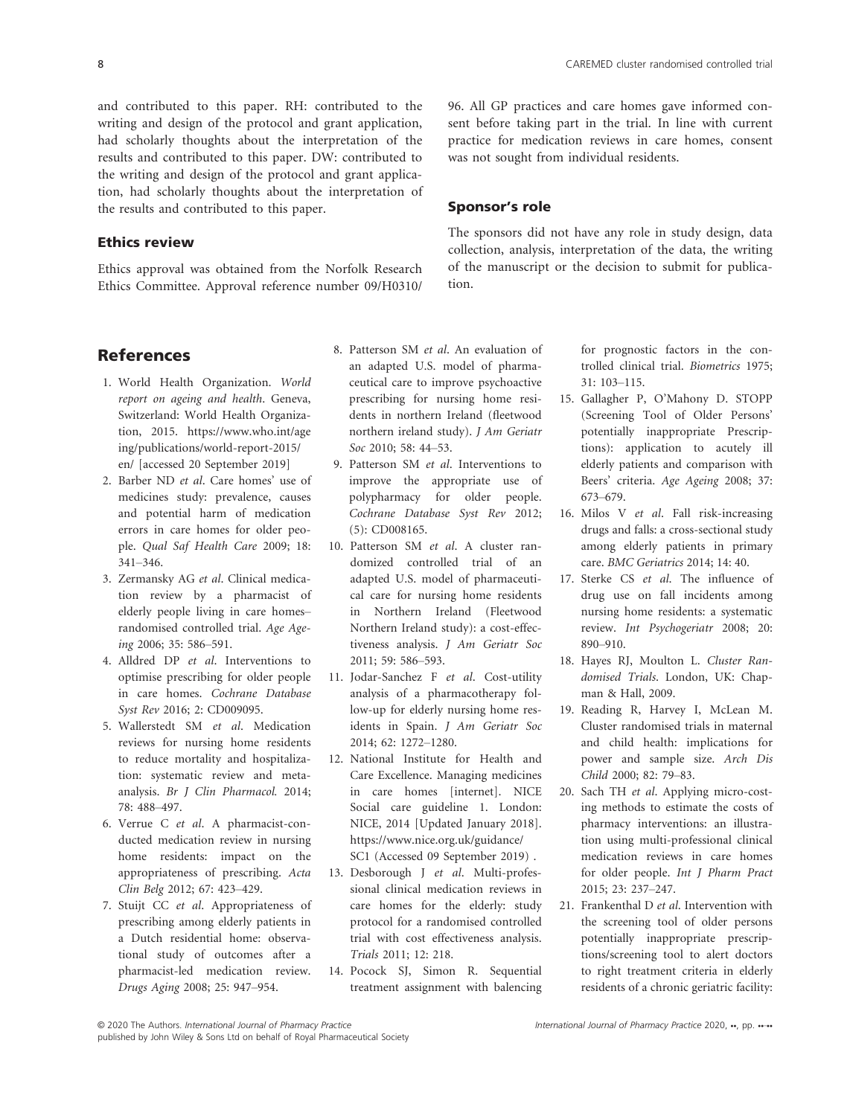and contributed to this paper. RH: contributed to the writing and design of the protocol and grant application, had scholarly thoughts about the interpretation of the results and contributed to this paper. DW: contributed to the writing and design of the protocol and grant application, had scholarly thoughts about the interpretation of the results and contributed to this paper.

## Ethics review

Ethics approval was obtained from the Norfolk Research Ethics Committee. Approval reference number 09/H0310/ 96. All GP practices and care homes gave informed consent before taking part in the trial. In line with current practice for medication reviews in care homes, consent was not sought from individual residents.

#### Sponsor's role

The sponsors did not have any role in study design, data collection, analysis, interpretation of the data, the writing of the manuscript or the decision to submit for publication.

# References

- 1. World Health Organization. World report on ageing and health. Geneva, Switzerland: World Health Organization, 2015. [https://www.who.int/age](https://www.who.int/ageing/publications/world-report-2015/en/) [ing/publications/world-report-2015/](https://www.who.int/ageing/publications/world-report-2015/en/) [en/](https://www.who.int/ageing/publications/world-report-2015/en/) [accessed 20 September 2019]
- 2. Barber ND et al. Care homes' use of medicines study: prevalence, causes and potential harm of medication errors in care homes for older people. Qual Saf Health Care 2009; 18: 341–346.
- 3. Zermansky AG et al. Clinical medication review by a pharmacist of elderly people living in care homes– randomised controlled trial. Age Ageing 2006; 35: 586–591.
- 4. Alldred DP et al. Interventions to optimise prescribing for older people in care homes. Cochrane Database Syst Rev 2016; 2: CD009095.
- 5. Wallerstedt SM et al. Medication reviews for nursing home residents to reduce mortality and hospitalization: systematic review and metaanalysis. Br J Clin Pharmacol. 2014; 78: 488–497.
- 6. Verrue C et al. A pharmacist-conducted medication review in nursing home residents: impact on the appropriateness of prescribing. Acta Clin Belg 2012; 67: 423–429.
- 7. Stuijt CC et al. Appropriateness of prescribing among elderly patients in a Dutch residential home: observational study of outcomes after a pharmacist-led medication review. Drugs Aging 2008; 25: 947–954.
- 8. Patterson SM et al. An evaluation of an adapted U.S. model of pharmaceutical care to improve psychoactive prescribing for nursing home residents in northern Ireland (fleetwood northern ireland study). J Am Geriatr Soc 2010: 58: 44-53.
- 9. Patterson SM et al. Interventions to improve the appropriate use of polypharmacy for older people. Cochrane Database Syst Rev 2012; (5): CD008165.
- 10. Patterson SM et al. A cluster randomized controlled trial of an adapted U.S. model of pharmaceutical care for nursing home residents in Northern Ireland (Fleetwood Northern Ireland study): a cost-effectiveness analysis. J Am Geriatr Soc 2011; 59: 586–593.
- 11. Jodar-Sanchez F et al. Cost-utility analysis of a pharmacotherapy follow-up for elderly nursing home residents in Spain. J Am Geriatr Soc 2014; 62: 1272–1280.
- 12. National Institute for Health and Care Excellence. Managing medicines in care homes [internet]. NICE Social care guideline 1. London: NICE, 2014 [Updated January 2018]. [https://www.nice.org.uk/guidance/](https://www.nice.org.uk/guidance/SC1) [SC1](https://www.nice.org.uk/guidance/SC1) (Accessed 09 September 2019) .
- 13. Desborough J et al. Multi-professional clinical medication reviews in care homes for the elderly: study protocol for a randomised controlled trial with cost effectiveness analysis. Trials 2011; 12: 218.
- 14. Pocock SJ, Simon R. Sequential treatment assignment with balencing

for prognostic factors in the controlled clinical trial. Biometrics 1975; 31: 103–115.

- 15. Gallagher P, O'Mahony D. STOPP (Screening Tool of Older Persons' potentially inappropriate Prescriptions): application to acutely ill elderly patients and comparison with Beers' criteria. Age Ageing 2008; 37: 673–679.
- 16. Milos V et al. Fall risk-increasing drugs and falls: a cross-sectional study among elderly patients in primary care. BMC Geriatrics 2014; 14: 40.
- 17. Sterke CS et al. The influence of drug use on fall incidents among nursing home residents: a systematic review. Int Psychogeriatr 2008; 20: 890–910.
- 18. Hayes RJ, Moulton L. Cluster Randomised Trials. London, UK: Chapman & Hall, 2009.
- 19. Reading R, Harvey I, McLean M. Cluster randomised trials in maternal and child health: implications for power and sample size. Arch Dis Child 2000; 82: 79–83.
- 20. Sach TH et al. Applying micro-costing methods to estimate the costs of pharmacy interventions: an illustration using multi-professional clinical medication reviews in care homes for older people. Int J Pharm Pract 2015; 23: 237–247.
- 21. Frankenthal D et al. Intervention with the screening tool of older persons potentially inappropriate prescriptions/screening tool to alert doctors to right treatment criteria in elderly residents of a chronic geriatric facility:

<sup>©</sup> 2020 The Authors. International Journal of Pharmacy Practice published by John Wiley & Sons Ltd on behalf of Royal Pharmaceutical Society